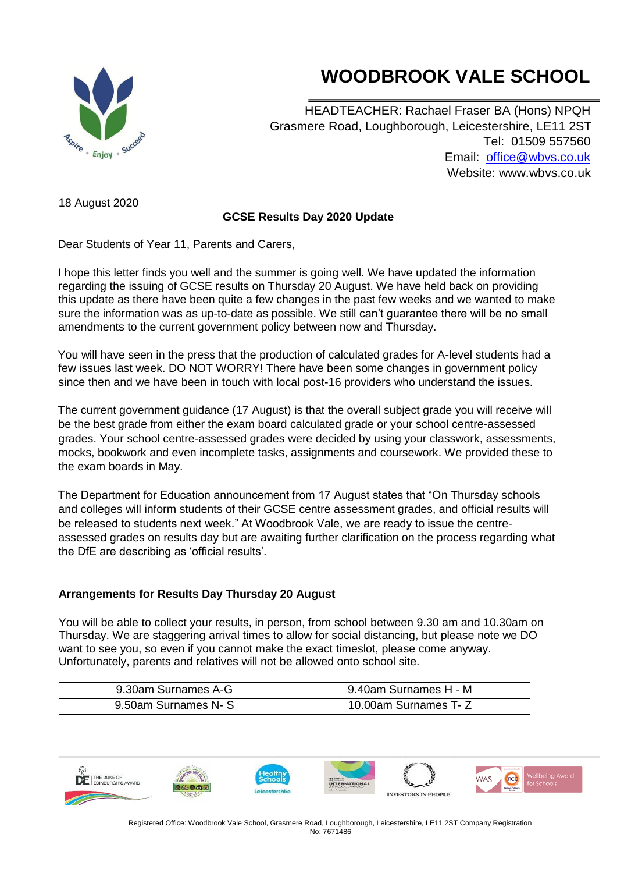## **WOODBROOK VALE SCHOOL**

i,



HEADTEACHER: Rachael Fraser BA (Hons) NPQH Grasmere Road, Loughborough, Leicestershire, LE11 2ST Tel: 01509 557560 Email: office@wbvs.co.uk Website: www.wbvs.co.uk

18 August 2020

## **GCSE Results Day 2020 Update**

Dear Students of Year 11, Parents and Carers,

I hope this letter finds you well and the summer is going well. We have updated the information regarding the issuing of GCSE results on Thursday 20 August. We have held back on providing this update as there have been quite a few changes in the past few weeks and we wanted to make sure the information was as up-to-date as possible. We still can't guarantee there will be no small amendments to the current government policy between now and Thursday.

You will have seen in the press that the production of calculated grades for A-level students had a few issues last week. DO NOT WORRY! There have been some changes in government policy since then and we have been in touch with local post-16 providers who understand the issues.

The current government guidance (17 August) is that the overall subject grade you will receive will be the best grade from either the exam board calculated grade or your school centre-assessed grades. Your school centre-assessed grades were decided by using your classwork, assessments, mocks, bookwork and even incomplete tasks, assignments and coursework. We provided these to the exam boards in May.

The Department for Education announcement from 17 August states that "On Thursday schools and colleges will inform students of their GCSE centre assessment grades, and official results will be released to students next week." At Woodbrook Vale, we are ready to issue the centreassessed grades on results day but are awaiting further clarification on the process regarding what the DfE are describing as 'official results'.

## **Arrangements for Results Day Thursday 20 August**

You will be able to collect your results, in person, from school between 9.30 am and 10.30am on Thursday. We are staggering arrival times to allow for social distancing, but please note we DO want to see you, so even if you cannot make the exact timeslot, please come anyway. Unfortunately, parents and relatives will not be allowed onto school site.

| 9.30am Surnames A-G  | 9.40am Surnames H - M |
|----------------------|-----------------------|
| 9.50am Surnames N- S | 10.00am Surnames T- Z |



Registered Office: Woodbrook Vale School, Grasmere Road, Loughborough, Leicestershire, LE11 2ST Company Registration No: 7671486